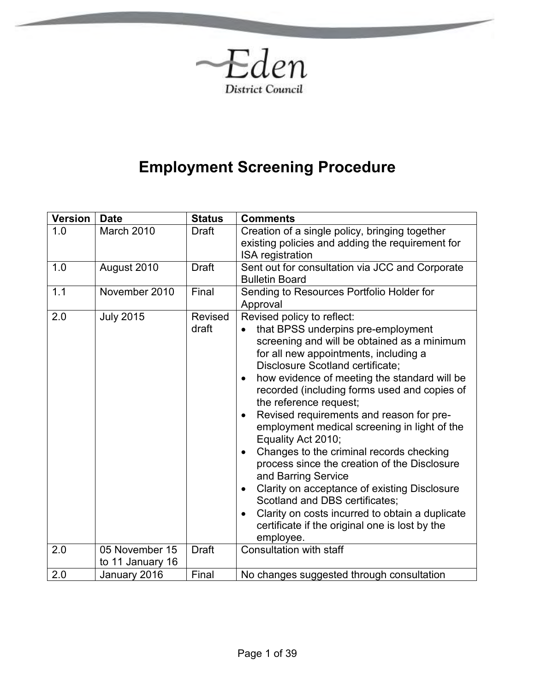

# **Employment Screening Procedure**

| <b>Version</b> | <b>Date</b>      | <b>Status</b>           | <b>Comments</b>                                                                                                                                                                                                                                                                                                                                                                                                                                                                                                                                                                                                                                                                                                                                                                                                                  |
|----------------|------------------|-------------------------|----------------------------------------------------------------------------------------------------------------------------------------------------------------------------------------------------------------------------------------------------------------------------------------------------------------------------------------------------------------------------------------------------------------------------------------------------------------------------------------------------------------------------------------------------------------------------------------------------------------------------------------------------------------------------------------------------------------------------------------------------------------------------------------------------------------------------------|
| 1.0            | March 2010       | Draft                   | Creation of a single policy, bringing together<br>existing policies and adding the requirement for<br><b>ISA</b> registration                                                                                                                                                                                                                                                                                                                                                                                                                                                                                                                                                                                                                                                                                                    |
| 1.0            | August 2010      | <b>Draft</b>            | Sent out for consultation via JCC and Corporate<br><b>Bulletin Board</b>                                                                                                                                                                                                                                                                                                                                                                                                                                                                                                                                                                                                                                                                                                                                                         |
| 1.1            | November 2010    | Final                   | Sending to Resources Portfolio Holder for<br>Approval                                                                                                                                                                                                                                                                                                                                                                                                                                                                                                                                                                                                                                                                                                                                                                            |
| 2.0            | <b>July 2015</b> | <b>Revised</b><br>draft | Revised policy to reflect:<br>that BPSS underpins pre-employment<br>screening and will be obtained as a minimum<br>for all new appointments, including a<br>Disclosure Scotland certificate;<br>how evidence of meeting the standard will be<br>$\bullet$<br>recorded (including forms used and copies of<br>the reference request;<br>Revised requirements and reason for pre-<br>$\bullet$<br>employment medical screening in light of the<br>Equality Act 2010;<br>Changes to the criminal records checking<br>$\bullet$<br>process since the creation of the Disclosure<br>and Barring Service<br>Clarity on acceptance of existing Disclosure<br>$\bullet$<br>Scotland and DBS certificates;<br>Clarity on costs incurred to obtain a duplicate<br>$\bullet$<br>certificate if the original one is lost by the<br>employee. |
| 2.0            | 05 November 15   | <b>Draft</b>            | Consultation with staff                                                                                                                                                                                                                                                                                                                                                                                                                                                                                                                                                                                                                                                                                                                                                                                                          |
|                | to 11 January 16 |                         |                                                                                                                                                                                                                                                                                                                                                                                                                                                                                                                                                                                                                                                                                                                                                                                                                                  |
| 2.0            | January 2016     | Final                   | No changes suggested through consultation                                                                                                                                                                                                                                                                                                                                                                                                                                                                                                                                                                                                                                                                                                                                                                                        |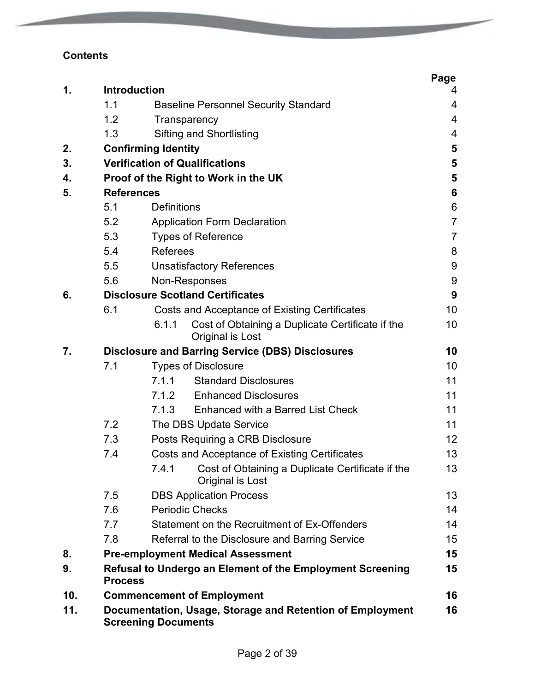## **Contents**

| 1.  | Introduction      |                                                                                         | Page<br>4      |
|-----|-------------------|-----------------------------------------------------------------------------------------|----------------|
|     | 1.1               | <b>Baseline Personnel Security Standard</b>                                             | 4              |
|     | 1.2               | Transparency                                                                            | 4              |
|     | 1.3               | <b>Sifting and Shortlisting</b>                                                         | 4              |
| 2.  |                   | <b>Confirming Identity</b>                                                              | 5              |
| 3.  |                   | <b>Verification of Qualifications</b>                                                   | 5              |
| 4.  |                   | Proof of the Right to Work in the UK                                                    | 5              |
| 5.  | <b>References</b> |                                                                                         | 6              |
|     | 5.1               | <b>Definitions</b>                                                                      | 6              |
|     | 5.2               | <b>Application Form Declaration</b>                                                     | $\overline{7}$ |
|     | 5.3               | <b>Types of Reference</b>                                                               | 7              |
|     | 5.4               | <b>Referees</b>                                                                         | 8              |
|     | 5.5               | <b>Unsatisfactory References</b>                                                        | 9              |
|     | 5.6               | Non-Responses                                                                           | 9              |
| 6.  |                   | <b>Disclosure Scotland Certificates</b>                                                 | 9              |
|     | 6.1               | Costs and Acceptance of Existing Certificates                                           | 10             |
|     |                   | Cost of Obtaining a Duplicate Certificate if the<br>6.1.1<br>Original is Lost           | 10             |
| 7.  |                   | <b>Disclosure and Barring Service (DBS) Disclosures</b>                                 | 10             |
|     | 7.1               | <b>Types of Disclosure</b>                                                              | 10             |
|     |                   | <b>Standard Disclosures</b><br>7.1.1                                                    | 11             |
|     |                   | <b>Enhanced Disclosures</b><br>7.1.2                                                    | 11             |
|     |                   | 7.1.3<br>Enhanced with a Barred List Check                                              | 11             |
|     | 7.2               | The DBS Update Service                                                                  | 11             |
|     | 7.3               | Posts Requiring a CRB Disclosure                                                        | 12             |
|     | 7.4               | Costs and Acceptance of Existing Certificates                                           | 13             |
|     |                   | Cost of Obtaining a Duplicate Certificate if the<br>7.4.1<br>Original is Lost           | 13             |
|     | 7.5               | <b>DBS Application Process</b>                                                          | 13             |
|     | 7.6               | <b>Periodic Checks</b>                                                                  | 14             |
|     | 7.7               | Statement on the Recruitment of Ex-Offenders                                            | 14             |
|     | 7.8               | Referral to the Disclosure and Barring Service                                          | 15             |
| 8.  |                   | <b>Pre-employment Medical Assessment</b>                                                | 15             |
| 9.  | <b>Process</b>    | Refusal to Undergo an Element of the Employment Screening                               | 15             |
| 10. |                   | <b>Commencement of Employment</b>                                                       | 16             |
| 11. |                   | Documentation, Usage, Storage and Retention of Employment<br><b>Screening Documents</b> | 16             |

of the Society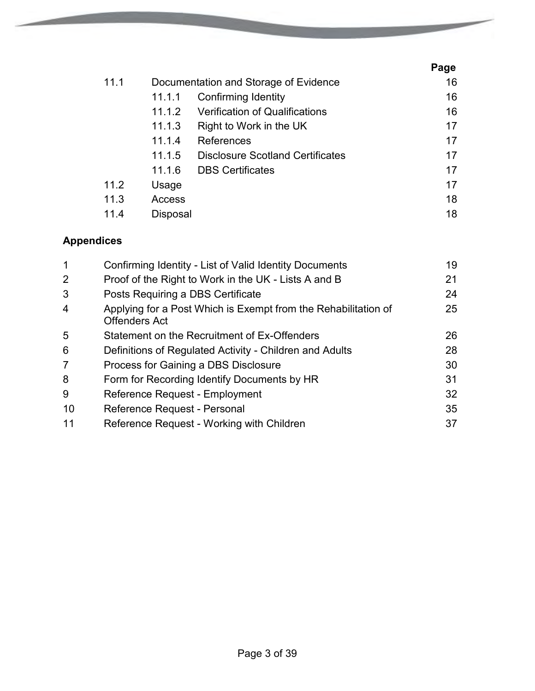|      |          |                                         | Page |
|------|----------|-----------------------------------------|------|
| 11.1 |          | Documentation and Storage of Evidence   | 16   |
|      | 11.1.1   | <b>Confirming Identity</b>              | 16   |
|      | 11.1.2   | <b>Verification of Qualifications</b>   | 16   |
|      | 11.1.3   | Right to Work in the UK                 | 17   |
|      | 11.1.4   | References                              | 17   |
|      | 11.1.5   | <b>Disclosure Scotland Certificates</b> | 17   |
|      | 11.1.6   | <b>DBS Certificates</b>                 | 17   |
| 11.2 | Usage    |                                         | 17   |
| 11.3 | Access   |                                         | 18   |
| 11.4 | Disposal |                                         | 18   |

**Contractor** 

## **Appendices**

| 1              | Confirming Identity - List of Valid Identity Documents                                 | 19 |
|----------------|----------------------------------------------------------------------------------------|----|
| 2              | Proof of the Right to Work in the UK - Lists A and B                                   | 21 |
| 3              | Posts Requiring a DBS Certificate                                                      | 24 |
| $\overline{4}$ | Applying for a Post Which is Exempt from the Rehabilitation of<br><b>Offenders Act</b> | 25 |
| 5              | Statement on the Recruitment of Ex-Offenders                                           | 26 |
| 6              | Definitions of Regulated Activity - Children and Adults                                | 28 |
| 7              | Process for Gaining a DBS Disclosure                                                   | 30 |
| 8              | Form for Recording Identify Documents by HR                                            | 31 |
| 9              | Reference Request - Employment                                                         | 32 |
| 10             | Reference Request - Personal                                                           | 35 |
| 11             | Reference Request - Working with Children                                              | 37 |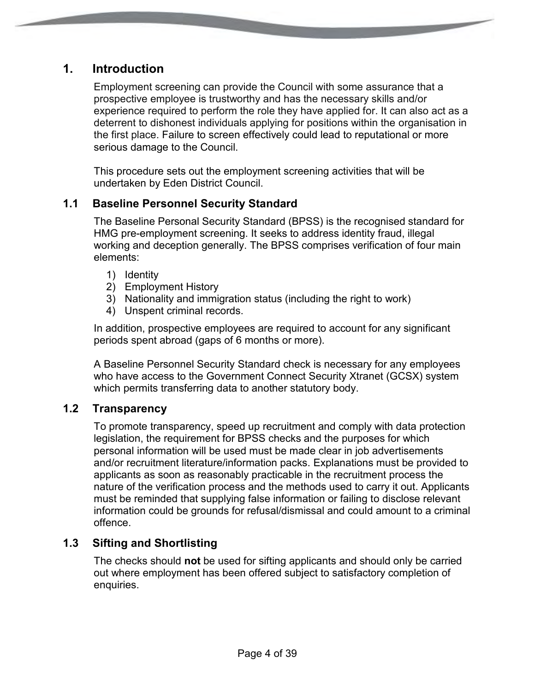## **1. Introduction**

Employment screening can provide the Council with some assurance that a prospective employee is trustworthy and has the necessary skills and/or experience required to perform the role they have applied for. It can also act as a deterrent to dishonest individuals applying for positions within the organisation in the first place. Failure to screen effectively could lead to reputational or more serious damage to the Council.

This procedure sets out the employment screening activities that will be undertaken by Eden District Council.

#### **1.1 Baseline Personnel Security Standard**

The Baseline Personal Security Standard (BPSS) is the recognised standard for HMG pre-employment screening. It seeks to address identity fraud, illegal working and deception generally. The BPSS comprises verification of four main elements:

- 1) Identity
- 2) Employment History
- 3) Nationality and immigration status (including the right to work)
- 4) Unspent criminal records.

In addition, prospective employees are required to account for any significant periods spent abroad (gaps of 6 months or more).

A Baseline Personnel Security Standard check is necessary for any employees who have access to the Government Connect Security Xtranet (GCSX) system which permits transferring data to another statutory body.

#### **1.2 Transparency**

To promote transparency, speed up recruitment and comply with data protection legislation, the requirement for BPSS checks and the purposes for which personal information will be used must be made clear in job advertisements and/or recruitment literature/information packs. Explanations must be provided to applicants as soon as reasonably practicable in the recruitment process the nature of the verification process and the methods used to carry it out. Applicants must be reminded that supplying false information or failing to disclose relevant information could be grounds for refusal/dismissal and could amount to a criminal offence.

#### **1.3 Sifting and Shortlisting**

The checks should **not** be used for sifting applicants and should only be carried out where employment has been offered subject to satisfactory completion of enquiries.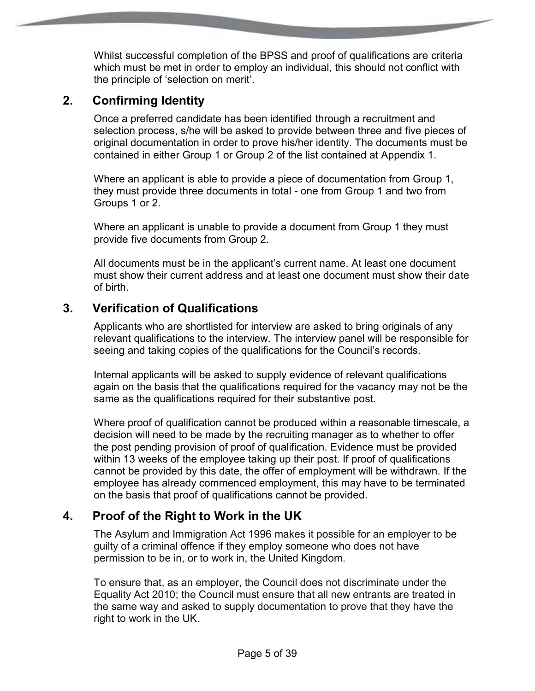Whilst successful completion of the BPSS and proof of qualifications are criteria which must be met in order to employ an individual, this should not conflict with the principle of 'selection on merit'.

## **2. Confirming Identity**

Once a preferred candidate has been identified through a recruitment and selection process, s/he will be asked to provide between three and five pieces of original documentation in order to prove his/her identity. The documents must be contained in either Group 1 or Group 2 of the list contained at Appendix 1.

Where an applicant is able to provide a piece of documentation from Group 1, they must provide three documents in total - one from Group 1 and two from Groups 1 or 2.

Where an applicant is unable to provide a document from Group 1 they must provide five documents from Group 2.

All documents must be in the applicant's current name. At least one document must show their current address and at least one document must show their date of birth.

## **3. Verification of Qualifications**

Applicants who are shortlisted for interview are asked to bring originals of any relevant qualifications to the interview. The interview panel will be responsible for seeing and taking copies of the qualifications for the Council's records.

Internal applicants will be asked to supply evidence of relevant qualifications again on the basis that the qualifications required for the vacancy may not be the same as the qualifications required for their substantive post.

Where proof of qualification cannot be produced within a reasonable timescale, a decision will need to be made by the recruiting manager as to whether to offer the post pending provision of proof of qualification. Evidence must be provided within 13 weeks of the employee taking up their post. If proof of qualifications cannot be provided by this date, the offer of employment will be withdrawn. If the employee has already commenced employment, this may have to be terminated on the basis that proof of qualifications cannot be provided.

## **4. Proof of the Right to Work in the UK**

The Asylum and Immigration Act 1996 makes it possible for an employer to be guilty of a criminal offence if they employ someone who does not have permission to be in, or to work in, the United Kingdom.

To ensure that, as an employer, the Council does not discriminate under the Equality Act 2010; the Council must ensure that all new entrants are treated in the same way and asked to supply documentation to prove that they have the right to work in the UK.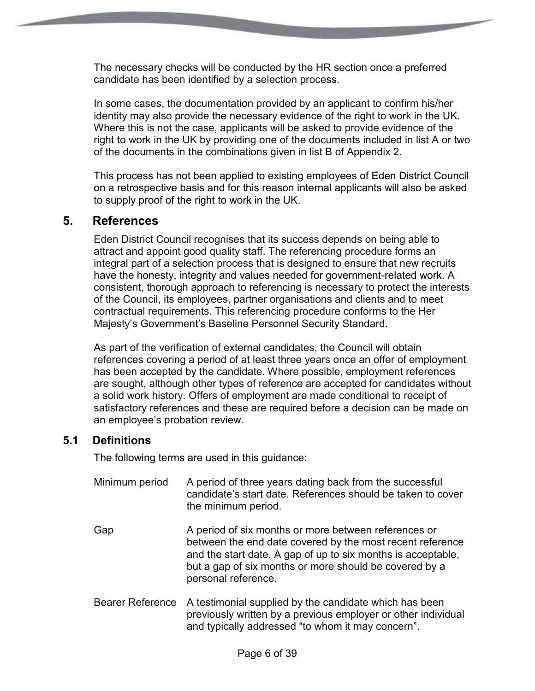The necessary checks will be conducted by the HR section once a preferred candidate has been identified by a selection process.

In some cases, the documentation provided by an applicant to confirm his/her identity may also provide the necessary evidence of the right to work in the UK. Where this is not the case, applicants will be asked to provide evidence of the right to work in the UK by providing one of the documents included in list A or two of the documents in the combinations given in list B of Appendix 2.

This process has not been applied to existing employees of Eden District Council on a retrospective basis and for this reason internal applicants will also be asked to supply proof of the right to work in the UK.

#### **5. References**

Eden District Council recognises that its success depends on being able to attract and appoint good quality staff. The referencing procedure forms an integral part of a selection process that is designed to ensure that new recruits have the honesty, integrity and values needed for government-related work. A consistent, thorough approach to referencing is necessary to protect the interests of the Council, its employees, partner organisations and clients and to meet contractual requirements. This referencing procedure conforms to the Her Majesty's Government's Baseline Personnel Security Standard.

As part of the verification of external candidates, the Council will obtain references covering a period of at least three years once an offer of employment has been accepted by the candidate. Where possible, employment references are sought, although other types of reference are accepted for candidates without a solid work history. Offers of employment are made conditional to receipt of satisfactory references and these are required before a decision can be made on an employee's probation review.

#### **5.1 Definitions**

The following terms are used in this guidance:

- Minimum period A period of three years dating back from the successful candidate's start date. References should be taken to cover the minimum period.
- Gap A period of six months or more between references or between the end date covered by the most recent reference and the start date. A gap of up to six months is acceptable, but a gap of six months or more should be covered by a personal reference.
- Bearer Reference A testimonial supplied by the candidate which has been previously written by a previous employer or other individual and typically addressed "to whom it may concern".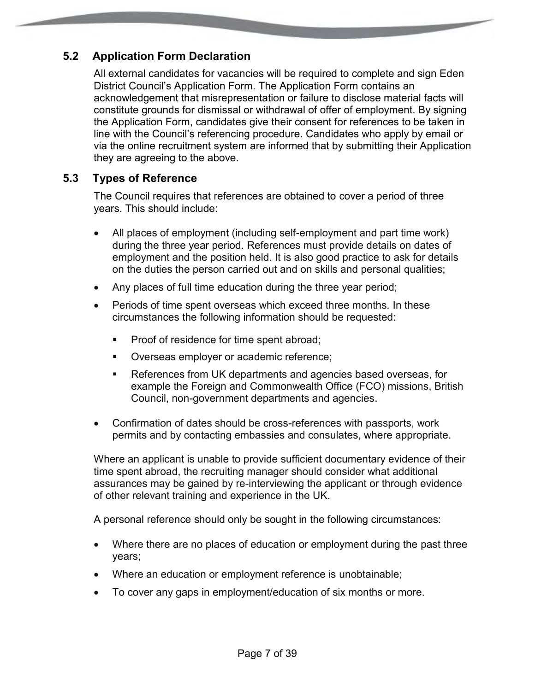## **5.2 Application Form Declaration**

All external candidates for vacancies will be required to complete and sign Eden District Council's Application Form. The Application Form contains an acknowledgement that misrepresentation or failure to disclose material facts will constitute grounds for dismissal or withdrawal of offer of employment. By signing the Application Form, candidates give their consent for references to be taken in line with the Council's referencing procedure. Candidates who apply by email or via the online recruitment system are informed that by submitting their Application they are agreeing to the above.

#### **5.3 Types of Reference**

The Council requires that references are obtained to cover a period of three years. This should include:

- All places of employment (including self-employment and part time work) during the three year period. References must provide details on dates of employment and the position held. It is also good practice to ask for details on the duties the person carried out and on skills and personal qualities;
- Any places of full time education during the three year period;
- Periods of time spent overseas which exceed three months. In these circumstances the following information should be requested:
	- Proof of residence for time spent abroad;
	- **Diverseas employer or academic reference;**
	- References from UK departments and agencies based overseas, for example the Foreign and Commonwealth Office (FCO) missions, British Council, non-government departments and agencies.
- Confirmation of dates should be cross-references with passports, work permits and by contacting embassies and consulates, where appropriate.

Where an applicant is unable to provide sufficient documentary evidence of their time spent abroad, the recruiting manager should consider what additional assurances may be gained by re-interviewing the applicant or through evidence of other relevant training and experience in the UK.

A personal reference should only be sought in the following circumstances:

- Where there are no places of education or employment during the past three years;
- Where an education or employment reference is unobtainable;
- To cover any gaps in employment/education of six months or more.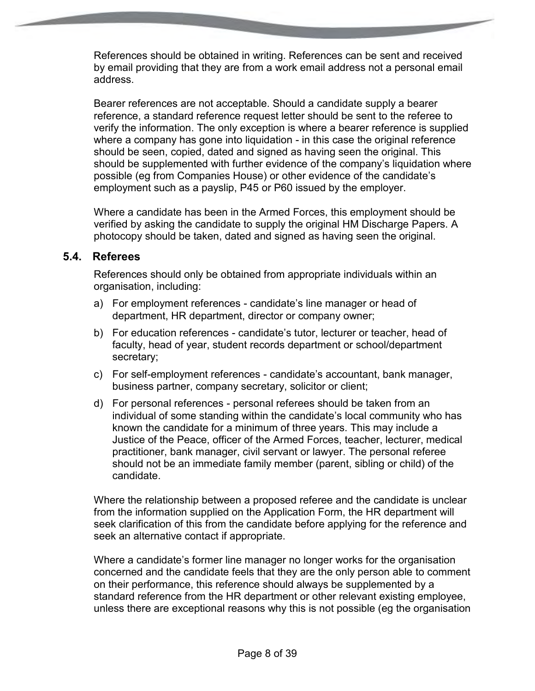References should be obtained in writing. References can be sent and received by email providing that they are from a work email address not a personal email address.

Bearer references are not acceptable. Should a candidate supply a bearer reference, a standard reference request letter should be sent to the referee to verify the information. The only exception is where a bearer reference is supplied where a company has gone into liquidation - in this case the original reference should be seen, copied, dated and signed as having seen the original. This should be supplemented with further evidence of the company's liquidation where possible (eg from Companies House) or other evidence of the candidate's employment such as a payslip, P45 or P60 issued by the employer.

Where a candidate has been in the Armed Forces, this employment should be verified by asking the candidate to supply the original HM Discharge Papers. A photocopy should be taken, dated and signed as having seen the original.

#### **5.4. Referees**

References should only be obtained from appropriate individuals within an organisation, including:

- a) For employment references candidate's line manager or head of department, HR department, director or company owner;
- b) For education references candidate's tutor, lecturer or teacher, head of faculty, head of year, student records department or school/department secretary;
- c) For self-employment references candidate's accountant, bank manager, business partner, company secretary, solicitor or client;
- d) For personal references personal referees should be taken from an individual of some standing within the candidate's local community who has known the candidate for a minimum of three years. This may include a Justice of the Peace, officer of the Armed Forces, teacher, lecturer, medical practitioner, bank manager, civil servant or lawyer. The personal referee should not be an immediate family member (parent, sibling or child) of the candidate.

Where the relationship between a proposed referee and the candidate is unclear from the information supplied on the Application Form, the HR department will seek clarification of this from the candidate before applying for the reference and seek an alternative contact if appropriate.

Where a candidate's former line manager no longer works for the organisation concerned and the candidate feels that they are the only person able to comment on their performance, this reference should always be supplemented by a standard reference from the HR department or other relevant existing employee, unless there are exceptional reasons why this is not possible (eg the organisation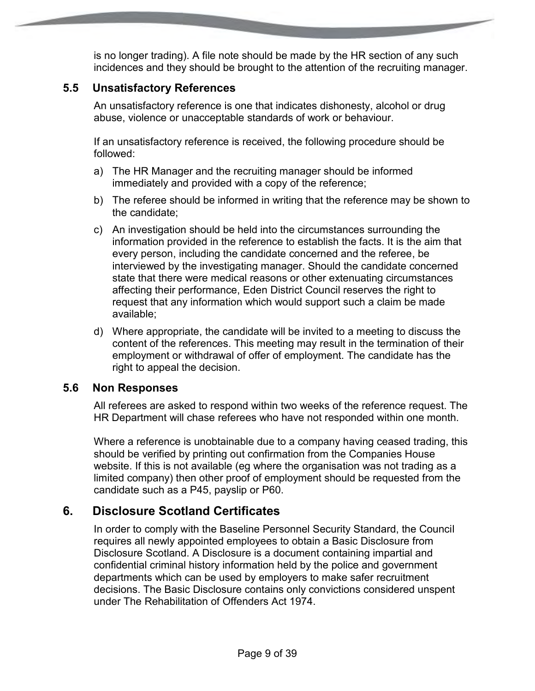is no longer trading). A file note should be made by the HR section of any such incidences and they should be brought to the attention of the recruiting manager.

#### **5.5 Unsatisfactory References**

An unsatisfactory reference is one that indicates dishonesty, alcohol or drug abuse, violence or unacceptable standards of work or behaviour.

If an unsatisfactory reference is received, the following procedure should be followed:

- a) The HR Manager and the recruiting manager should be informed immediately and provided with a copy of the reference;
- b) The referee should be informed in writing that the reference may be shown to the candidate;
- c) An investigation should be held into the circumstances surrounding the information provided in the reference to establish the facts. It is the aim that every person, including the candidate concerned and the referee, be interviewed by the investigating manager. Should the candidate concerned state that there were medical reasons or other extenuating circumstances affecting their performance, Eden District Council reserves the right to request that any information which would support such a claim be made available;
- d) Where appropriate, the candidate will be invited to a meeting to discuss the content of the references. This meeting may result in the termination of their employment or withdrawal of offer of employment. The candidate has the right to appeal the decision.

#### **5.6 Non Responses**

All referees are asked to respond within two weeks of the reference request. The HR Department will chase referees who have not responded within one month.

Where a reference is unobtainable due to a company having ceased trading, this should be verified by printing out confirmation from the Companies House website. If this is not available (eg where the organisation was not trading as a limited company) then other proof of employment should be requested from the candidate such as a P45, payslip or P60.

## **6. Disclosure Scotland Certificates**

In order to comply with the Baseline Personnel Security Standard, the Council requires all newly appointed employees to obtain a Basic Disclosure from Disclosure Scotland. A Disclosure is a document containing impartial and confidential criminal history information held by the police and government departments which can be used by employers to make safer recruitment decisions. The Basic Disclosure contains only convictions considered unspent under The Rehabilitation of Offenders Act 1974.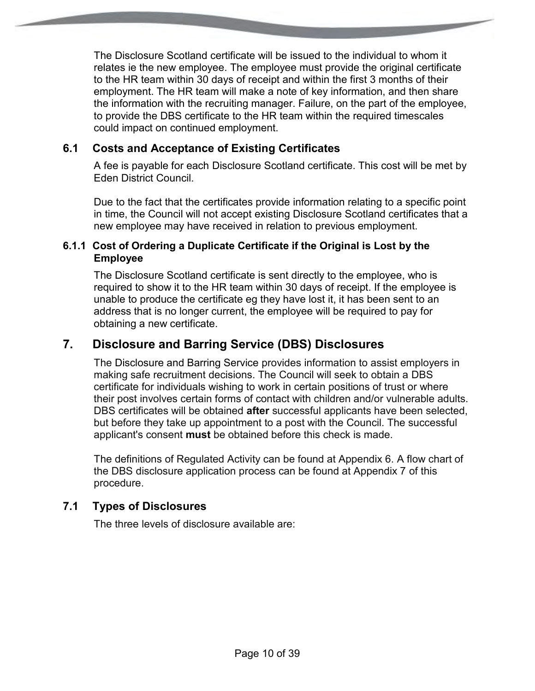The Disclosure Scotland certificate will be issued to the individual to whom it relates ie the new employee. The employee must provide the original certificate to the HR team within 30 days of receipt and within the first 3 months of their employment. The HR team will make a note of key information, and then share the information with the recruiting manager. Failure, on the part of the employee, to provide the DBS certificate to the HR team within the required timescales could impact on continued employment.

#### **6.1 Costs and Acceptance of Existing Certificates**

A fee is payable for each Disclosure Scotland certificate. This cost will be met by Eden District Council.

Due to the fact that the certificates provide information relating to a specific point in time, the Council will not accept existing Disclosure Scotland certificates that a new employee may have received in relation to previous employment.

#### **6.1.1 Cost of Ordering a Duplicate Certificate if the Original is Lost by the Employee**

The Disclosure Scotland certificate is sent directly to the employee, who is required to show it to the HR team within 30 days of receipt. If the employee is unable to produce the certificate eg they have lost it, it has been sent to an address that is no longer current, the employee will be required to pay for obtaining a new certificate.

## **7. Disclosure and Barring Service (DBS) Disclosures**

The Disclosure and Barring Service provides information to assist employers in making safe recruitment decisions. The Council will seek to obtain a DBS certificate for individuals wishing to work in certain positions of trust or where their post involves certain forms of contact with children and/or vulnerable adults. DBS certificates will be obtained **after** successful applicants have been selected, but before they take up appointment to a post with the Council. The successful applicant's consent **must** be obtained before this check is made.

The definitions of Regulated Activity can be found at Appendix 6. A flow chart of the DBS disclosure application process can be found at Appendix 7 of this procedure.

#### **7.1 Types of Disclosures**

The three levels of disclosure available are: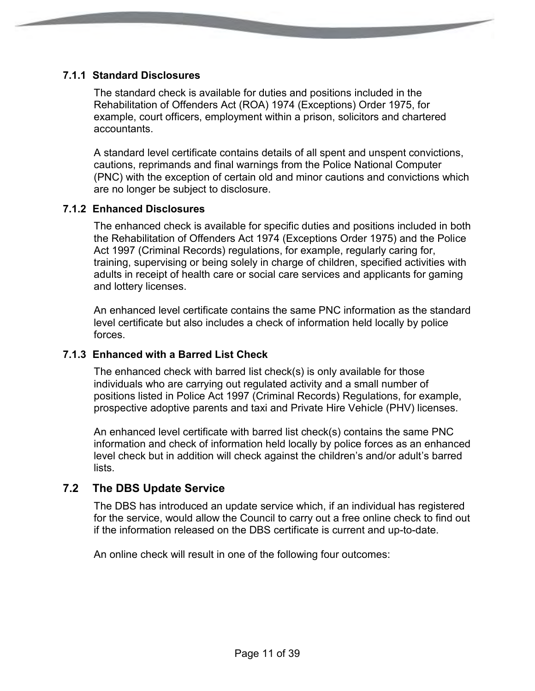#### **7.1.1 Standard Disclosures**

The standard check is available for duties and positions included in the Rehabilitation of Offenders Act (ROA) 1974 (Exceptions) Order 1975, for example, court officers, employment within a prison, solicitors and chartered accountants.

A standard level certificate contains details of all spent and unspent convictions, cautions, reprimands and final warnings from the Police National Computer (PNC) with the exception of certain old and minor cautions and convictions which are no longer be subject to disclosure.

#### **7.1.2 Enhanced Disclosures**

The enhanced check is available for specific duties and positions included in both the Rehabilitation of Offenders Act 1974 (Exceptions Order 1975) and the Police Act 1997 (Criminal Records) regulations, for example, regularly caring for, training, supervising or being solely in charge of children, specified activities with adults in receipt of health care or social care services and applicants for gaming and lottery licenses.

An enhanced level certificate contains the same PNC information as the standard level certificate but also includes a check of information held locally by police forces.

#### **7.1.3 Enhanced with a Barred List Check**

The enhanced check with barred list check(s) is only available for those individuals who are carrying out regulated activity and a small number of positions listed in Police Act 1997 (Criminal Records) Regulations, for example, prospective adoptive parents and taxi and Private Hire Vehicle (PHV) licenses.

An enhanced level certificate with barred list check(s) contains the same PNC information and check of information held locally by police forces as an enhanced level check but in addition will check against the children's and/or adult's barred lists.

#### **7.2 The DBS Update Service**

The DBS has introduced an update service which, if an individual has registered for the service, would allow the Council to carry out a free online check to find out if the information released on the DBS certificate is current and up-to-date.

An online check will result in one of the following four outcomes: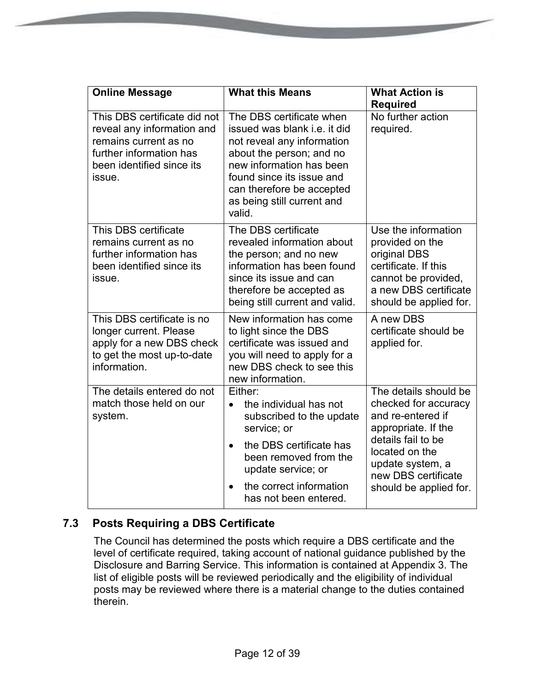| <b>Online Message</b>                                                                                                                                 | <b>What this Means</b>                                                                                                                                                                                                                                  | <b>What Action is</b><br><b>Required</b>                                                                                                                 |
|-------------------------------------------------------------------------------------------------------------------------------------------------------|---------------------------------------------------------------------------------------------------------------------------------------------------------------------------------------------------------------------------------------------------------|----------------------------------------------------------------------------------------------------------------------------------------------------------|
| This DBS certificate did not<br>reveal any information and<br>remains current as no<br>further information has<br>been identified since its<br>issue. | The DBS certificate when<br>issued was blank <i>i.e.</i> it did<br>not reveal any information<br>about the person; and no<br>new information has been<br>found since its issue and<br>can therefore be accepted<br>as being still current and<br>valid. | No further action<br>required.                                                                                                                           |
| This DBS certificate<br>remains current as no<br>further information has<br>been identified since its<br>issue.                                       | The DBS certificate<br>revealed information about<br>the person; and no new<br>information has been found<br>since its issue and can<br>therefore be accepted as<br>being still current and valid.                                                      | Use the information<br>provided on the<br>original DBS<br>certificate. If this<br>cannot be provided,<br>a new DBS certificate<br>should be applied for. |
| This DBS certificate is no<br>longer current. Please<br>apply for a new DBS check<br>to get the most up-to-date<br>information.                       | New information has come<br>to light since the DBS<br>certificate was issued and<br>you will need to apply for a<br>new DBS check to see this<br>new information.                                                                                       | A new DBS<br>certificate should be<br>applied for.                                                                                                       |
| The details entered do not<br>match those held on our<br>system.                                                                                      | Either:<br>the individual has not<br>$\bullet$<br>subscribed to the update<br>service; or<br>the DBS certificate has<br>$\bullet$                                                                                                                       | The details should be<br>checked for accuracy<br>and re-entered if<br>appropriate. If the<br>details fail to be                                          |
|                                                                                                                                                       | been removed from the<br>update service; or<br>the correct information<br>has not been entered.                                                                                                                                                         | located on the<br>update system, a<br>new DBS certificate<br>should be applied for.                                                                      |

## **7.3 Posts Requiring a DBS Certificate**

The Council has determined the posts which require a DBS certificate and the level of certificate required, taking account of national guidance published by the Disclosure and Barring Service. This information is contained at Appendix 3. The list of eligible posts will be reviewed periodically and the eligibility of individual posts may be reviewed where there is a material change to the duties contained therein.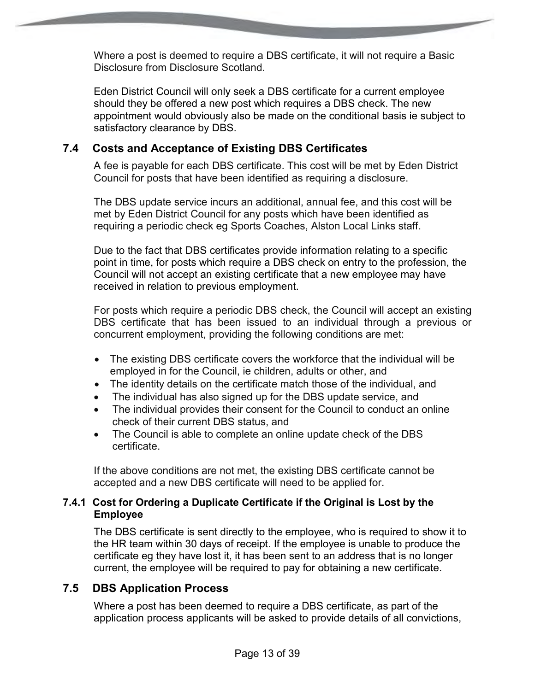Where a post is deemed to require a DBS certificate, it will not require a Basic Disclosure from Disclosure Scotland.

Eden District Council will only seek a DBS certificate for a current employee should they be offered a new post which requires a DBS check. The new appointment would obviously also be made on the conditional basis ie subject to satisfactory clearance by DBS.

#### **7.4 Costs and Acceptance of Existing DBS Certificates**

A fee is payable for each DBS certificate. This cost will be met by Eden District Council for posts that have been identified as requiring a disclosure.

The DBS update service incurs an additional, annual fee, and this cost will be met by Eden District Council for any posts which have been identified as requiring a periodic check eg Sports Coaches, Alston Local Links staff.

Due to the fact that DBS certificates provide information relating to a specific point in time, for posts which require a DBS check on entry to the profession, the Council will not accept an existing certificate that a new employee may have received in relation to previous employment.

For posts which require a periodic DBS check, the Council will accept an existing DBS certificate that has been issued to an individual through a previous or concurrent employment, providing the following conditions are met:

- The existing DBS certificate covers the workforce that the individual will be employed in for the Council, ie children, adults or other, and
- The identity details on the certificate match those of the individual, and
- The individual has also signed up for the DBS update service, and
- The individual provides their consent for the Council to conduct an online check of their current DBS status, and
- The Council is able to complete an online update check of the DBS certificate.

If the above conditions are not met, the existing DBS certificate cannot be accepted and a new DBS certificate will need to be applied for.

#### **7.4.1 Cost for Ordering a Duplicate Certificate if the Original is Lost by the Employee**

The DBS certificate is sent directly to the employee, who is required to show it to the HR team within 30 days of receipt. If the employee is unable to produce the certificate eg they have lost it, it has been sent to an address that is no longer current, the employee will be required to pay for obtaining a new certificate.

#### **7.5 DBS Application Process**

Where a post has been deemed to require a DBS certificate, as part of the application process applicants will be asked to provide details of all convictions,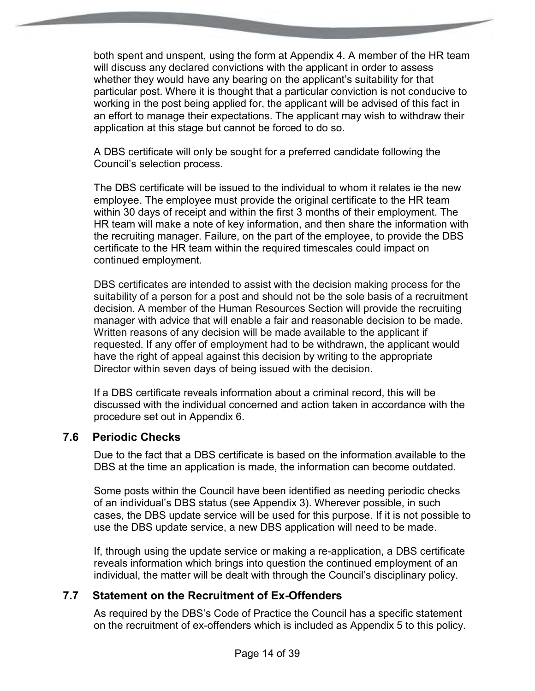both spent and unspent, using the form at Appendix 4. A member of the HR team will discuss any declared convictions with the applicant in order to assess whether they would have any bearing on the applicant's suitability for that particular post. Where it is thought that a particular conviction is not conducive to working in the post being applied for, the applicant will be advised of this fact in an effort to manage their expectations. The applicant may wish to withdraw their application at this stage but cannot be forced to do so.

A DBS certificate will only be sought for a preferred candidate following the Council's selection process.

The DBS certificate will be issued to the individual to whom it relates ie the new employee. The employee must provide the original certificate to the HR team within 30 days of receipt and within the first 3 months of their employment. The HR team will make a note of key information, and then share the information with the recruiting manager. Failure, on the part of the employee, to provide the DBS certificate to the HR team within the required timescales could impact on continued employment.

DBS certificates are intended to assist with the decision making process for the suitability of a person for a post and should not be the sole basis of a recruitment decision. A member of the Human Resources Section will provide the recruiting manager with advice that will enable a fair and reasonable decision to be made. Written reasons of any decision will be made available to the applicant if requested. If any offer of employment had to be withdrawn, the applicant would have the right of appeal against this decision by writing to the appropriate Director within seven days of being issued with the decision.

If a DBS certificate reveals information about a criminal record, this will be discussed with the individual concerned and action taken in accordance with the procedure set out in Appendix 6.

#### **7.6 Periodic Checks**

Due to the fact that a DBS certificate is based on the information available to the DBS at the time an application is made, the information can become outdated.

Some posts within the Council have been identified as needing periodic checks of an individual's DBS status (see Appendix 3). Wherever possible, in such cases, the DBS update service will be used for this purpose. If it is not possible to use the DBS update service, a new DBS application will need to be made.

If, through using the update service or making a re-application, a DBS certificate reveals information which brings into question the continued employment of an individual, the matter will be dealt with through the Council's disciplinary policy.

#### **7.7 Statement on the Recruitment of Ex-Offenders**

As required by the DBS's Code of Practice the Council has a specific statement on the recruitment of ex-offenders which is included as Appendix 5 to this policy.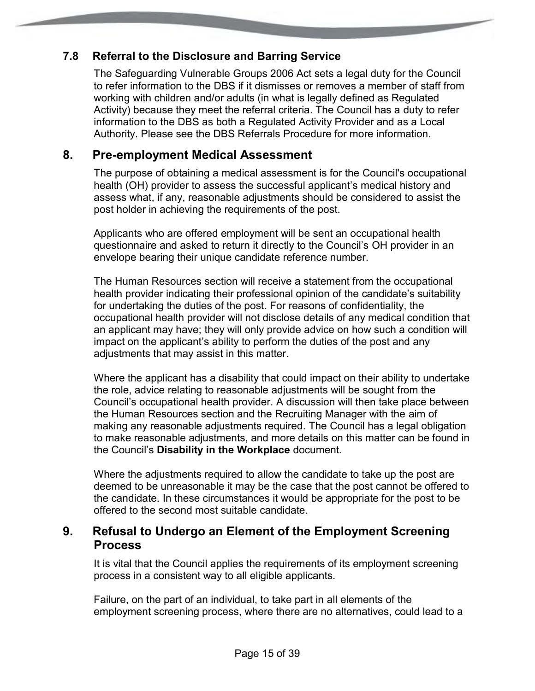#### **7.8 Referral to the Disclosure and Barring Service**

The Safeguarding Vulnerable Groups 2006 Act sets a legal duty for the Council to refer information to the DBS if it dismisses or removes a member of staff from working with children and/or adults (in what is legally defined as Regulated Activity) because they meet the referral criteria. The Council has a duty to refer information to the DBS as both a Regulated Activity Provider and as a Local Authority. Please see the DBS Referrals Procedure for more information.

## **8. Pre-employment Medical Assessment**

The purpose of obtaining a medical assessment is for the Council's occupational health (OH) provider to assess the successful applicant's medical history and assess what, if any, reasonable adjustments should be considered to assist the post holder in achieving the requirements of the post.

Applicants who are offered employment will be sent an occupational health questionnaire and asked to return it directly to the Council's OH provider in an envelope bearing their unique candidate reference number.

The Human Resources section will receive a statement from the occupational health provider indicating their professional opinion of the candidate's suitability for undertaking the duties of the post. For reasons of confidentiality, the occupational health provider will not disclose details of any medical condition that an applicant may have; they will only provide advice on how such a condition will impact on the applicant's ability to perform the duties of the post and any adjustments that may assist in this matter.

Where the applicant has a disability that could impact on their ability to undertake the role, advice relating to reasonable adjustments will be sought from the Council's occupational health provider. A discussion will then take place between the Human Resources section and the Recruiting Manager with the aim of making any reasonable adjustments required. The Council has a legal obligation to make reasonable adjustments, and more details on this matter can be found in the Council's **Disability in the Workplace** document*.*

Where the adjustments required to allow the candidate to take up the post are deemed to be unreasonable it may be the case that the post cannot be offered to the candidate. In these circumstances it would be appropriate for the post to be offered to the second most suitable candidate.

## **9. Refusal to Undergo an Element of the Employment Screening Process**

It is vital that the Council applies the requirements of its employment screening process in a consistent way to all eligible applicants.

Failure, on the part of an individual, to take part in all elements of the employment screening process, where there are no alternatives, could lead to a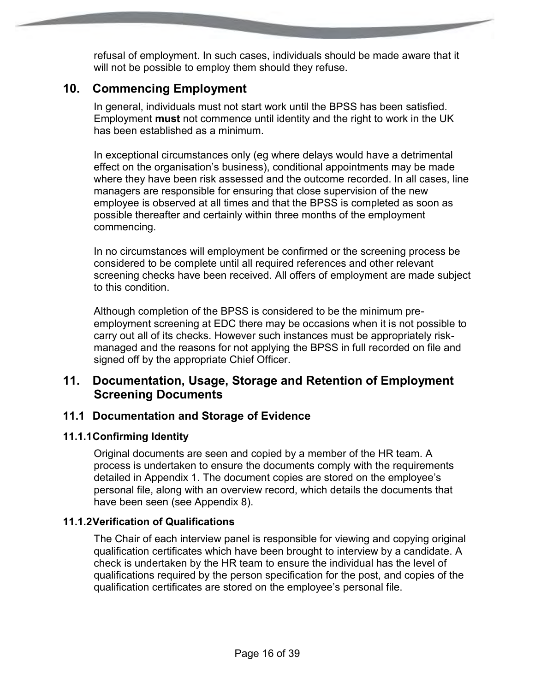refusal of employment. In such cases, individuals should be made aware that it will not be possible to employ them should they refuse.

## **10. Commencing Employment**

In general, individuals must not start work until the BPSS has been satisfied. Employment **must** not commence until identity and the right to work in the UK has been established as a minimum.

In exceptional circumstances only (eg where delays would have a detrimental effect on the organisation's business), conditional appointments may be made where they have been risk assessed and the outcome recorded. In all cases, line managers are responsible for ensuring that close supervision of the new employee is observed at all times and that the BPSS is completed as soon as possible thereafter and certainly within three months of the employment commencing.

In no circumstances will employment be confirmed or the screening process be considered to be complete until all required references and other relevant screening checks have been received. All offers of employment are made subject to this condition.

Although completion of the BPSS is considered to be the minimum preemployment screening at EDC there may be occasions when it is not possible to carry out all of its checks. However such instances must be appropriately riskmanaged and the reasons for not applying the BPSS in full recorded on file and signed off by the appropriate Chief Officer.

## **11. Documentation, Usage, Storage and Retention of Employment Screening Documents**

#### **11.1 Documentation and Storage of Evidence**

#### **11.1.1 Confirming Identity**

Original documents are seen and copied by a member of the HR team. A process is undertaken to ensure the documents comply with the requirements detailed in Appendix 1. The document copies are stored on the employee's personal file, along with an overview record, which details the documents that have been seen (see Appendix 8).

#### **11.1.2 Verification of Qualifications**

The Chair of each interview panel is responsible for viewing and copying original qualification certificates which have been brought to interview by a candidate. A check is undertaken by the HR team to ensure the individual has the level of qualifications required by the person specification for the post, and copies of the qualification certificates are stored on the employee's personal file.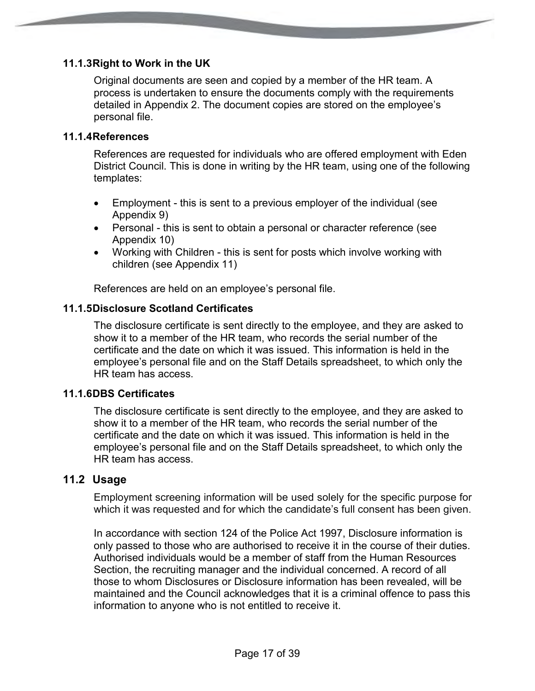#### **11.1.3 Right to Work in the UK**

Original documents are seen and copied by a member of the HR team. A process is undertaken to ensure the documents comply with the requirements detailed in Appendix 2. The document copies are stored on the employee's personal file.

#### **11.1.4 References**

References are requested for individuals who are offered employment with Eden District Council. This is done in writing by the HR team, using one of the following templates:

- Employment this is sent to a previous employer of the individual (see Appendix 9)
- Personal this is sent to obtain a personal or character reference (see Appendix 10)
- Working with Children this is sent for posts which involve working with children (see Appendix 11)

References are held on an employee's personal file.

#### **11.1.5 Disclosure Scotland Certificates**

The disclosure certificate is sent directly to the employee, and they are asked to show it to a member of the HR team, who records the serial number of the certificate and the date on which it was issued. This information is held in the employee's personal file and on the Staff Details spreadsheet, to which only the HR team has access.

#### **11.1.6 DBS Certificates**

The disclosure certificate is sent directly to the employee, and they are asked to show it to a member of the HR team, who records the serial number of the certificate and the date on which it was issued. This information is held in the employee's personal file and on the Staff Details spreadsheet, to which only the HR team has access.

#### **11.2 Usage**

Employment screening information will be used solely for the specific purpose for which it was requested and for which the candidate's full consent has been given.

In accordance with section 124 of the Police Act 1997, Disclosure information is only passed to those who are authorised to receive it in the course of their duties. Authorised individuals would be a member of staff from the Human Resources Section, the recruiting manager and the individual concerned. A record of all those to whom Disclosures or Disclosure information has been revealed, will be maintained and the Council acknowledges that it is a criminal offence to pass this information to anyone who is not entitled to receive it.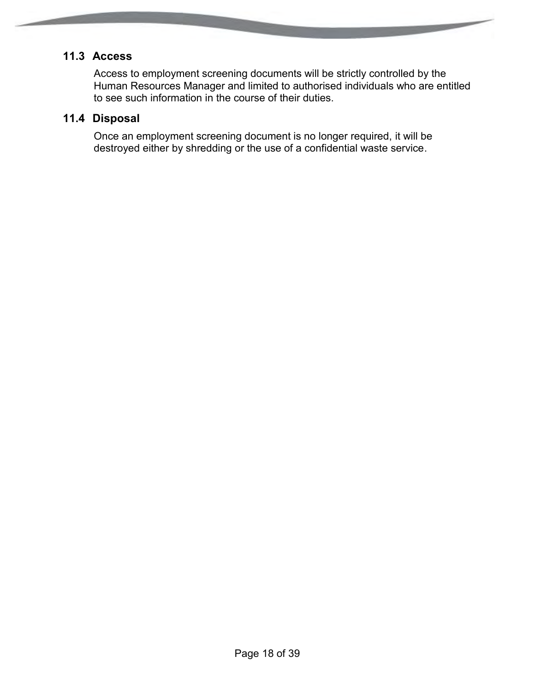## **11.3 Access**

Access to employment screening documents will be strictly controlled by the Human Resources Manager and limited to authorised individuals who are entitled to see such information in the course of their duties.

## **11.4 Disposal**

Once an employment screening document is no longer required, it will be destroyed either by shredding or the use of a confidential waste service.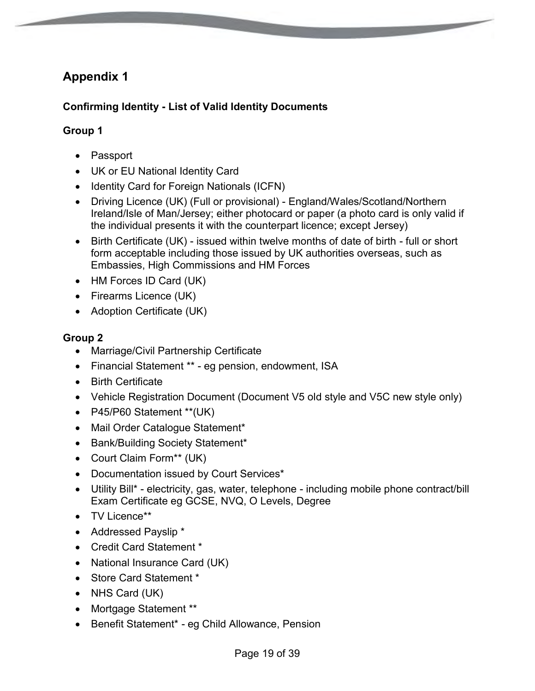#### **Confirming Identity - List of Valid Identity Documents**

#### **Group 1**

- Passport
- UK or EU National Identity Card
- Identity Card for Foreign Nationals (ICFN)
- Driving Licence (UK) (Full or provisional) England/Wales/Scotland/Northern Ireland/Isle of Man/Jersey; either photocard or paper (a photo card is only valid if the individual presents it with the counterpart licence; except Jersey)
- Birth Certificate (UK) issued within twelve months of date of birth full or short form acceptable including those issued by UK authorities overseas, such as Embassies, High Commissions and HM Forces
- HM Forces ID Card (UK)
- Firearms Licence (UK)
- Adoption Certificate (UK)

#### **Group 2**

- Marriage/Civil Partnership Certificate
- Financial Statement \*\* eg pension, endowment, ISA
- Birth Certificate
- Vehicle Registration Document (Document V5 old style and V5C new style only)
- P45/P60 Statement \*\*(UK)
- Mail Order Catalogue Statement\*
- Bank/Building Society Statement\*
- Court Claim Form<sup>\*\*</sup> (UK)
- Documentation issued by Court Services\*
- Utility Bill\* electricity, gas, water, telephone including mobile phone contract/bill Exam Certificate eg GCSE, NVQ, O Levels, Degree
- TV Licence\*\*
- Addressed Payslip \*
- Credit Card Statement \*
- National Insurance Card (UK)
- Store Card Statement \*
- NHS Card (UK)
- Mortgage Statement \*\*
- Benefit Statement\* eg Child Allowance, Pension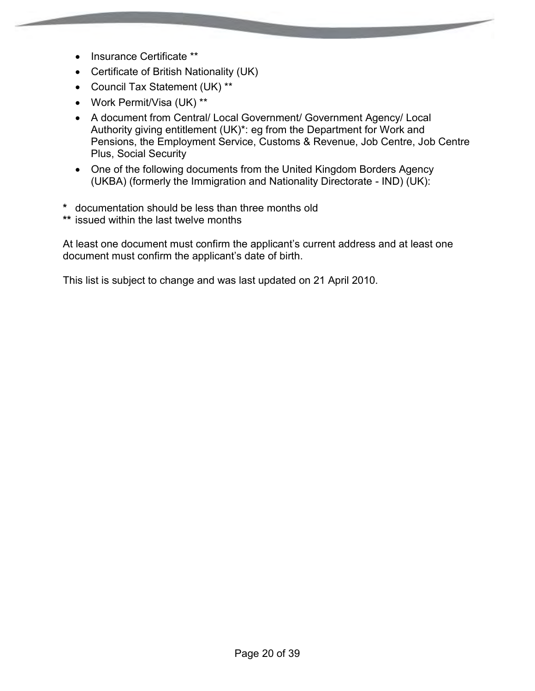- Insurance Certificate \*\*
- Certificate of British Nationality (UK)
- Council Tax Statement (UK) \*\*
- Work Permit/Visa (UK) \*\*
- A document from Central/ Local Government/ Government Agency/ Local Authority giving entitlement (UK)\*: eg from the Department for Work and Pensions, the Employment Service, Customs & Revenue, Job Centre, Job Centre Plus, Social Security
- One of the following documents from the United Kingdom Borders Agency (UKBA) (formerly the Immigration and Nationality Directorate - IND) (UK):
- **\*** documentation should be less than three months old
- **\*\*** issued within the last twelve months

At least one document must confirm the applicant's current address and at least one document must confirm the applicant's date of birth.

This list is subject to change and was last updated on 21 April 2010.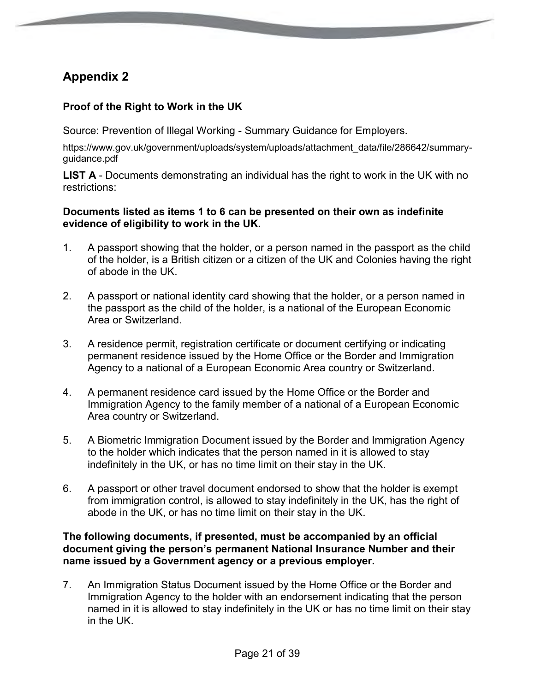#### **Proof of the Right to Work in the UK**

Source: Prevention of Illegal Working - Summary Guidance for Employers.

https://www.gov.uk/government/uploads/system/uploads/attachment\_data/file/286642/summaryguidance.pdf

**LIST A** - Documents demonstrating an individual has the right to work in the UK with no restrictions:

#### **Documents listed as items 1 to 6 can be presented on their own as indefinite evidence of eligibility to work in the UK.**

- 1. A passport showing that the holder, or a person named in the passport as the child of the holder, is a British citizen or a citizen of the UK and Colonies having the right of abode in the UK.
- 2. A passport or national identity card showing that the holder, or a person named in the passport as the child of the holder, is a national of the European Economic Area or Switzerland.
- 3. A residence permit, registration certificate or document certifying or indicating permanent residence issued by the Home Office or the Border and Immigration Agency to a national of a European Economic Area country or Switzerland.
- 4. A permanent residence card issued by the Home Office or the Border and Immigration Agency to the family member of a national of a European Economic Area country or Switzerland.
- 5. A Biometric Immigration Document issued by the Border and Immigration Agency to the holder which indicates that the person named in it is allowed to stay indefinitely in the UK, or has no time limit on their stay in the UK.
- 6. A passport or other travel document endorsed to show that the holder is exempt from immigration control, is allowed to stay indefinitely in the UK, has the right of abode in the UK, or has no time limit on their stay in the UK.

#### **The following documents, if presented, must be accompanied by an official document giving the person's permanent National Insurance Number and their name issued by a Government agency or a previous employer.**

7. An Immigration Status Document issued by the Home Office or the Border and Immigration Agency to the holder with an endorsement indicating that the person named in it is allowed to stay indefinitely in the UK or has no time limit on their stay in the UK.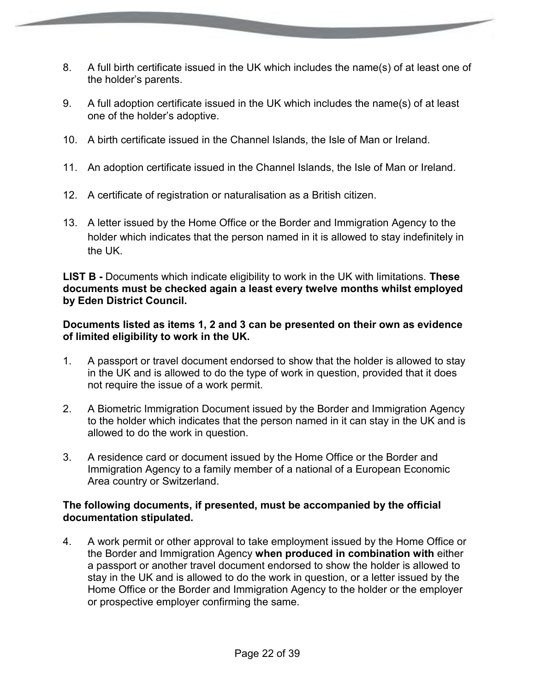- 8. A full birth certificate issued in the UK which includes the name(s) of at least one of the holder's parents.
- 9. A full adoption certificate issued in the UK which includes the name(s) of at least one of the holder's adoptive.
- 10. A birth certificate issued in the Channel Islands, the Isle of Man or Ireland.
- 11. An adoption certificate issued in the Channel Islands, the Isle of Man or Ireland.
- 12. A certificate of registration or naturalisation as a British citizen.
- 13. A letter issued by the Home Office or the Border and Immigration Agency to the holder which indicates that the person named in it is allowed to stay indefinitely in the UK.

**LIST B -** Documents which indicate eligibility to work in the UK with limitations. **These documents must be checked again a least every twelve months whilst employed by Eden District Council.**

#### **Documents listed as items 1, 2 and 3 can be presented on their own as evidence of limited eligibility to work in the UK.**

- 1. A passport or travel document endorsed to show that the holder is allowed to stay in the UK and is allowed to do the type of work in question, provided that it does not require the issue of a work permit.
- 2. A Biometric Immigration Document issued by the Border and Immigration Agency to the holder which indicates that the person named in it can stay in the UK and is allowed to do the work in question.
- 3. A residence card or document issued by the Home Office or the Border and Immigration Agency to a family member of a national of a European Economic Area country or Switzerland.

#### **The following documents, if presented, must be accompanied by the official documentation stipulated.**

4. A work permit or other approval to take employment issued by the Home Office or the Border and Immigration Agency **when produced in combination with** either a passport or another travel document endorsed to show the holder is allowed to stay in the UK and is allowed to do the work in question, or a letter issued by the Home Office or the Border and Immigration Agency to the holder or the employer or prospective employer confirming the same.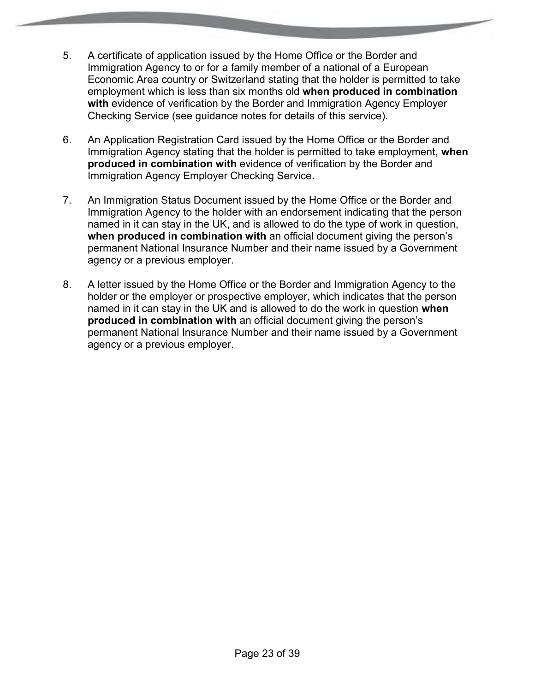- 5. A certificate of application issued by the Home Office or the Border and Immigration Agency to or for a family member of a national of a European Economic Area country or Switzerland stating that the holder is permitted to take employment which is less than six months old **when produced in combination with** evidence of verification by the Border and Immigration Agency Employer Checking Service (see guidance notes for details of this service).
- 6. An Application Registration Card issued by the Home Office or the Border and Immigration Agency stating that the holder is permitted to take employment, **when produced in combination with** evidence of verification by the Border and Immigration Agency Employer Checking Service.
- 7. An Immigration Status Document issued by the Home Office or the Border and Immigration Agency to the holder with an endorsement indicating that the person named in it can stay in the UK, and is allowed to do the type of work in question, **when produced in combination with** an official document giving the person's permanent National Insurance Number and their name issued by a Government agency or a previous employer.
- 8. A letter issued by the Home Office or the Border and Immigration Agency to the holder or the employer or prospective employer, which indicates that the person named in it can stay in the UK and is allowed to do the work in question **when produced in combination with** an official document giving the person's permanent National Insurance Number and their name issued by a Government agency or a previous employer.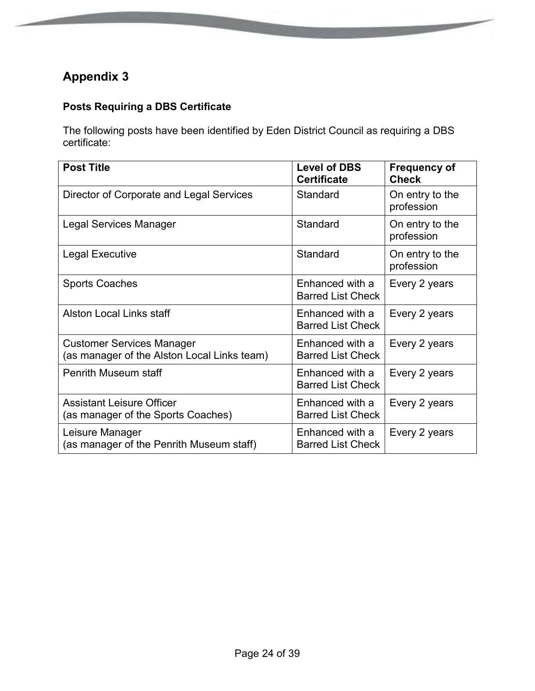## **Posts Requiring a DBS Certificate**

The following posts have been identified by Eden District Council as requiring a DBS certificate:

**CONTRACTOR** 

| <b>Post Title</b>                                                               | <b>Level of DBS</b><br><b>Certificate</b>   | <b>Frequency of</b><br><b>Check</b> |
|---------------------------------------------------------------------------------|---------------------------------------------|-------------------------------------|
| Director of Corporate and Legal Services                                        | Standard                                    | On entry to the<br>profession       |
| <b>Legal Services Manager</b>                                                   | Standard                                    | On entry to the<br>profession       |
| Legal Executive                                                                 | Standard                                    | On entry to the<br>profession       |
| <b>Sports Coaches</b>                                                           | Enhanced with a<br><b>Barred List Check</b> | Every 2 years                       |
| <b>Alston Local Links staff</b>                                                 | Enhanced with a<br><b>Barred List Check</b> | Every 2 years                       |
| <b>Customer Services Manager</b><br>(as manager of the Alston Local Links team) | Enhanced with a<br><b>Barred List Check</b> | Every 2 years                       |
| <b>Penrith Museum staff</b>                                                     | Enhanced with a<br><b>Barred List Check</b> | Every 2 years                       |
| <b>Assistant Leisure Officer</b><br>(as manager of the Sports Coaches)          | Enhanced with a<br><b>Barred List Check</b> | Every 2 years                       |
| Leisure Manager<br>(as manager of the Penrith Museum staff)                     | Enhanced with a<br><b>Barred List Check</b> | Every 2 years                       |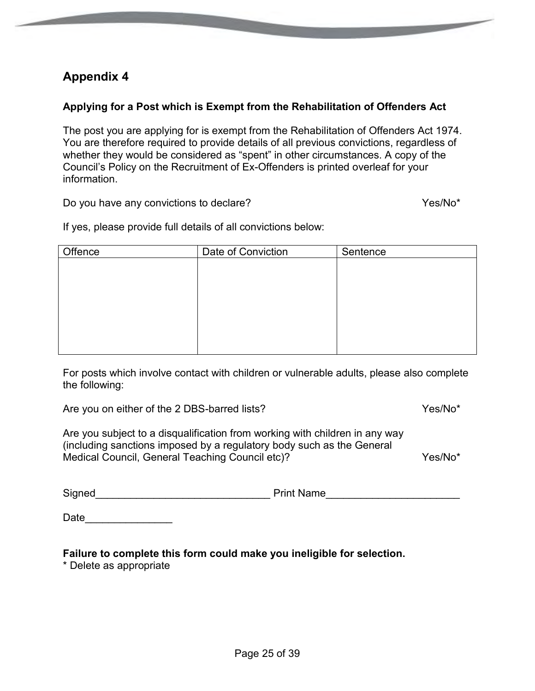#### **Applying for a Post which is Exempt from the Rehabilitation of Offenders Act**

The post you are applying for is exempt from the Rehabilitation of Offenders Act 1974. You are therefore required to provide details of all previous convictions, regardless of whether they would be considered as "spent" in other circumstances. A copy of the Council's Policy on the Recruitment of Ex-Offenders is printed overleaf for your information.

Do you have any convictions to declare? The state of the Yes/No\* Yes/No\*

**CONTRACTOR** 

If yes, please provide full details of all convictions below:

| Offence | Date of Conviction | Sentence |
|---------|--------------------|----------|
|         |                    |          |
|         |                    |          |
|         |                    |          |
|         |                    |          |
|         |                    |          |
|         |                    |          |
|         |                    |          |
|         |                    |          |

For posts which involve contact with children or vulnerable adults, please also complete the following:

Are you on either of the 2 DBS-barred lists? Yes/No\*

Are you subject to a disqualification from working with children in any way (including sanctions imposed by a regulatory body such as the General Medical Council, General Teaching Council etc)? <br>
Yes/No\*

Signed **Signed Signed Print Name** 

Date  $\qquad \qquad \qquad \qquad \qquad$ 

**Failure to complete this form could make you ineligible for selection.** 

\* Delete as appropriate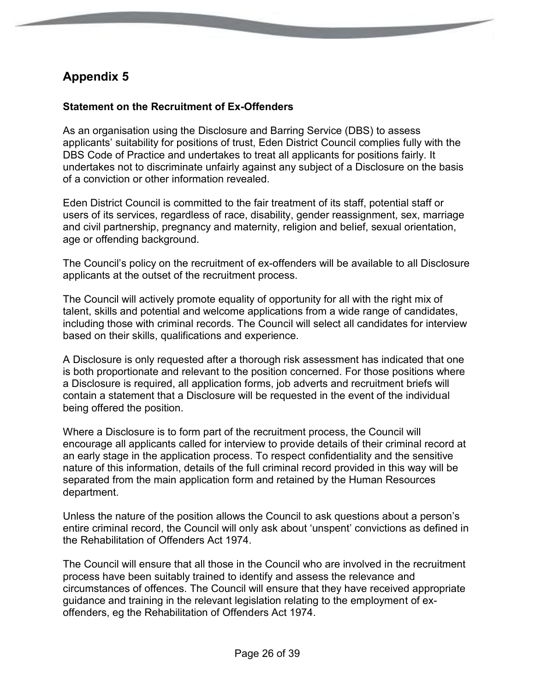#### **Statement on the Recruitment of Ex-Offenders**

As an organisation using the Disclosure and Barring Service (DBS) to assess applicants' suitability for positions of trust, Eden District Council complies fully with the DBS Code of Practice and undertakes to treat all applicants for positions fairly. It undertakes not to discriminate unfairly against any subject of a Disclosure on the basis of a conviction or other information revealed.

Eden District Council is committed to the fair treatment of its staff, potential staff or users of its services, regardless of race, disability, gender reassignment, sex, marriage and civil partnership, pregnancy and maternity, religion and belief, sexual orientation, age or offending background.

The Council's policy on the recruitment of ex-offenders will be available to all Disclosure applicants at the outset of the recruitment process.

The Council will actively promote equality of opportunity for all with the right mix of talent, skills and potential and welcome applications from a wide range of candidates, including those with criminal records. The Council will select all candidates for interview based on their skills, qualifications and experience.

A Disclosure is only requested after a thorough risk assessment has indicated that one is both proportionate and relevant to the position concerned. For those positions where a Disclosure is required, all application forms, job adverts and recruitment briefs will contain a statement that a Disclosure will be requested in the event of the individual being offered the position.

Where a Disclosure is to form part of the recruitment process, the Council will encourage all applicants called for interview to provide details of their criminal record at an early stage in the application process. To respect confidentiality and the sensitive nature of this information, details of the full criminal record provided in this way will be separated from the main application form and retained by the Human Resources department.

Unless the nature of the position allows the Council to ask questions about a person's entire criminal record, the Council will only ask about 'unspent' convictions as defined in the Rehabilitation of Offenders Act 1974.

The Council will ensure that all those in the Council who are involved in the recruitment process have been suitably trained to identify and assess the relevance and circumstances of offences. The Council will ensure that they have received appropriate guidance and training in the relevant legislation relating to the employment of exoffenders, eg the Rehabilitation of Offenders Act 1974.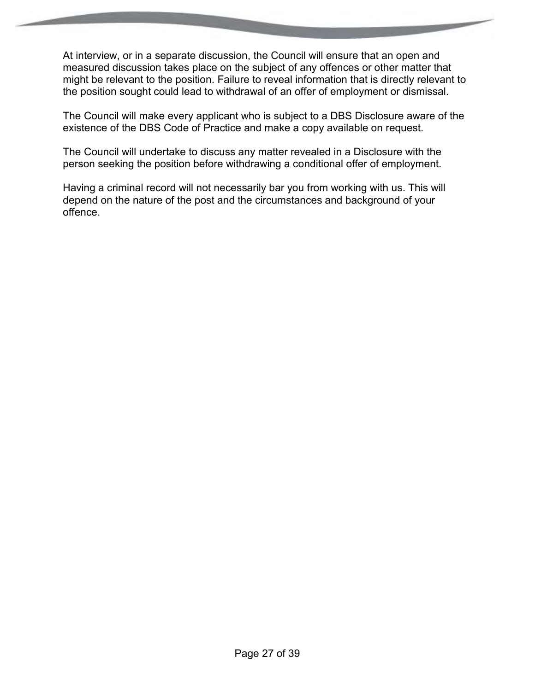At interview, or in a separate discussion, the Council will ensure that an open and measured discussion takes place on the subject of any offences or other matter that might be relevant to the position. Failure to reveal information that is directly relevant to the position sought could lead to withdrawal of an offer of employment or dismissal.

The Council will make every applicant who is subject to a DBS Disclosure aware of the existence of the DBS Code of Practice and make a copy available on request.

The Council will undertake to discuss any matter revealed in a Disclosure with the person seeking the position before withdrawing a conditional offer of employment.

Having a criminal record will not necessarily bar you from working with us. This will depend on the nature of the post and the circumstances and background of your offence.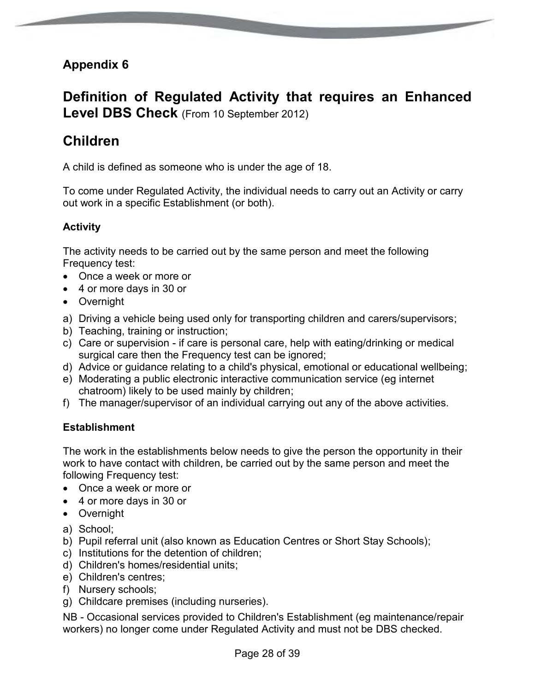## **Definition of Regulated Activity that requires an Enhanced Level DBS Check** (From 10 September 2012)

## **Children**

A child is defined as someone who is under the age of 18.

To come under Regulated Activity, the individual needs to carry out an Activity or carry out work in a specific Establishment (or both).

#### **Activity**

The activity needs to be carried out by the same person and meet the following Frequency test:

- Once a week or more or
- 4 or more days in 30 or
- Overnight
- a) Driving a vehicle being used only for transporting children and carers/supervisors;
- b) Teaching, training or instruction;
- c) Care or supervision if care is personal care, help with eating/drinking or medical surgical care then the Frequency test can be ignored;
- d) Advice or guidance relating to a child's physical, emotional or educational wellbeing;
- e) Moderating a public electronic interactive communication service (eg internet chatroom) likely to be used mainly by children;
- f) The manager/supervisor of an individual carrying out any of the above activities.

#### **Establishment**

The work in the establishments below needs to give the person the opportunity in their work to have contact with children, be carried out by the same person and meet the following Frequency test:

- Once a week or more or
- 4 or more days in 30 or
- Overnight
- a) School;
- b) Pupil referral unit (also known as Education Centres or Short Stay Schools);
- c) Institutions for the detention of children;
- d) Children's homes/residential units;
- e) Children's centres;
- f) Nursery schools;
- g) Childcare premises (including nurseries).

NB - Occasional services provided to Children's Establishment (eg maintenance/repair workers) no longer come under Regulated Activity and must not be DBS checked.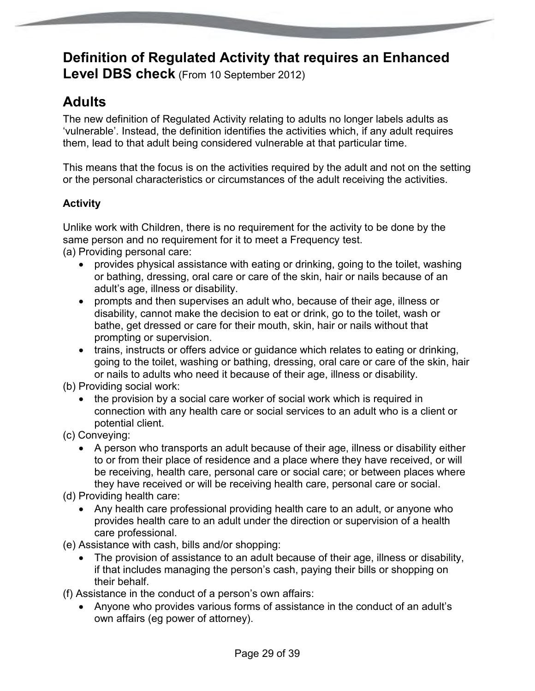# **Definition of Regulated Activity that requires an Enhanced**

**Level DBS check** (From 10 September 2012)

# **Adults**

The new definition of Regulated Activity relating to adults no longer labels adults as 'vulnerable'. Instead, the definition identifies the activities which, if any adult requires them, lead to that adult being considered vulnerable at that particular time.

This means that the focus is on the activities required by the adult and not on the setting or the personal characteristics or circumstances of the adult receiving the activities.

## **Activity**

Unlike work with Children, there is no requirement for the activity to be done by the same person and no requirement for it to meet a Frequency test. (a) Providing personal care:

- provides physical assistance with eating or drinking, going to the toilet, washing or bathing, dressing, oral care or care of the skin, hair or nails because of an adult's age, illness or disability.
- prompts and then supervises an adult who, because of their age, illness or disability, cannot make the decision to eat or drink, go to the toilet, wash or bathe, get dressed or care for their mouth, skin, hair or nails without that prompting or supervision.
- trains, instructs or offers advice or guidance which relates to eating or drinking, going to the toilet, washing or bathing, dressing, oral care or care of the skin, hair or nails to adults who need it because of their age, illness or disability.

(b) Providing social work:

- the provision by a social care worker of social work which is required in connection with any health care or social services to an adult who is a client or potential client.
- (c) Conveying:
	- A person who transports an adult because of their age, illness or disability either to or from their place of residence and a place where they have received, or will be receiving, health care, personal care or social care; or between places where they have received or will be receiving health care, personal care or social.

(d) Providing health care:

- Any health care professional providing health care to an adult, or anyone who provides health care to an adult under the direction or supervision of a health care professional.
- (e) Assistance with cash, bills and/or shopping:
	- The provision of assistance to an adult because of their age, illness or disability, if that includes managing the person's cash, paying their bills or shopping on their behalf.

(f) Assistance in the conduct of a person's own affairs:

 Anyone who provides various forms of assistance in the conduct of an adult's own affairs (eg power of attorney).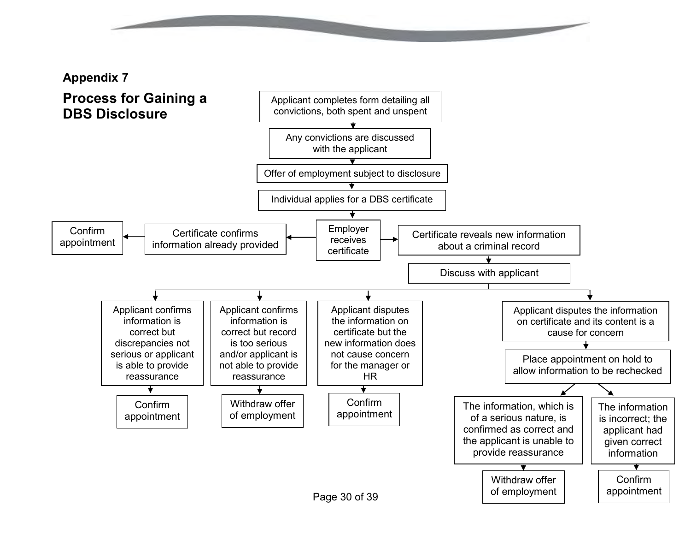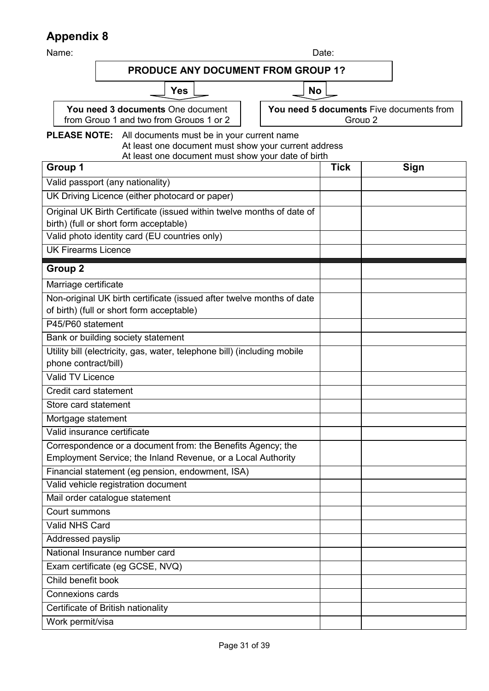Name: Date: **PLEASE NOTE:** All documents must be in your current name At least one document must show your current address At least one document must show your date of birth **Group 1 Tick Sign** Valid passport (any nationality) UK Driving Licence (either photocard or paper) Original UK Birth Certificate (issued within twelve months of date of birth) (full or short form acceptable) Valid photo identity card (EU countries only) UK Firearms Licence **Group 2** Marriage certificate Non-original UK birth certificate (issued after twelve months of date of birth) (full or short form acceptable) P45/P60 statement Bank or building society statement Utility bill (electricity, gas, water, telephone bill) (including mobile phone contract/bill) Valid TV Licence Credit card statement Store card statement Mortgage statement Valid insurance certificate Correspondence or a document from: the Benefits Agency; the Employment Service; the Inland Revenue, or a Local Authority Financial statement (eg pension, endowment, ISA) Valid vehicle registration document Mail order catalogue statement Court summons Valid NHS Card Addressed payslip National Insurance number card Exam certificate (eg GCSE, NVQ) Child benefit book Connexions cards Certificate of British nationality Work permit/visa **PRODUCE ANY DOCUMENT FROM GROUP 1? Yes**  $\Box$  No **You need 3 documents** One document from Group 1 and two from Groups 1 or 2 **You need 5 documents** Five documents from Group 2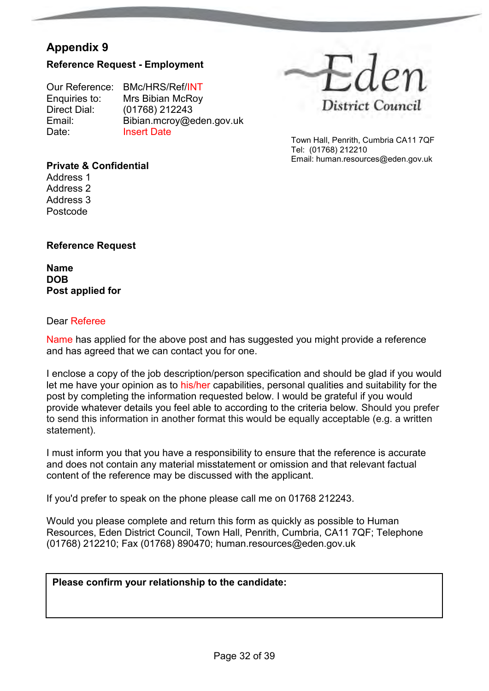#### **Reference Request - Employment**

Our Reference: BMc/HRS/Ref/INT Enquiries to: Mrs Bibian McRoy<br>Direct Dial: (01768) 212243 Direct Dial: (01768) 212243<br>Email: Bibian.mcrov@e Email: Bibian.mcroy@eden.gov.uk<br>Date: Insert Date **Insert Date** 



Town Hall, Penrith, Cumbria CA11 7QF Tel: (01768) 212210 Email: human.resources@eden.gov.uk

#### **Private & Confidential**

Address 1 Address 2 Address 3 Postcode

#### **Reference Request**

**Name DOB Post applied for** 

#### Dear Referee

Name has applied for the above post and has suggested you might provide a reference and has agreed that we can contact you for one.

I enclose a copy of the job description/person specification and should be glad if you would let me have your opinion as to his/her capabilities, personal qualities and suitability for the post by completing the information requested below. I would be grateful if you would provide whatever details you feel able to according to the criteria below. Should you prefer to send this information in another format this would be equally acceptable (e.g. a written statement).

I must inform you that you have a responsibility to ensure that the reference is accurate and does not contain any material misstatement or omission and that relevant factual content of the reference may be discussed with the applicant.

If you'd prefer to speak on the phone please call me on 01768 212243.

Would you please complete and return this form as quickly as possible to Human Resources, Eden District Council, Town Hall, Penrith, Cumbria, CA11 7QF; Telephone (01768) 212210; Fax (01768) 890470; human.resources@eden.gov.uk

#### **Please confirm your relationship to the candidate:**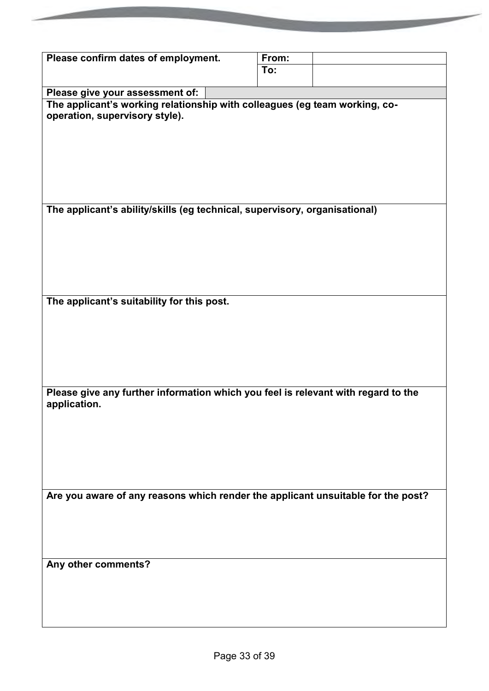| Please confirm dates of employment.                                               | From: |  |
|-----------------------------------------------------------------------------------|-------|--|
|                                                                                   | To:   |  |
|                                                                                   |       |  |
| Please give your assessment of:                                                   |       |  |
| The applicant's working relationship with colleagues (eg team working, co-        |       |  |
| operation, supervisory style).                                                    |       |  |
|                                                                                   |       |  |
|                                                                                   |       |  |
|                                                                                   |       |  |
|                                                                                   |       |  |
|                                                                                   |       |  |
|                                                                                   |       |  |
|                                                                                   |       |  |
| The applicant's ability/skills (eg technical, supervisory, organisational)        |       |  |
|                                                                                   |       |  |
|                                                                                   |       |  |
|                                                                                   |       |  |
|                                                                                   |       |  |
|                                                                                   |       |  |
|                                                                                   |       |  |
|                                                                                   |       |  |
|                                                                                   |       |  |
| The applicant's suitability for this post.                                        |       |  |
|                                                                                   |       |  |
|                                                                                   |       |  |
|                                                                                   |       |  |
|                                                                                   |       |  |
|                                                                                   |       |  |
|                                                                                   |       |  |
|                                                                                   |       |  |
| Please give any further information which you feel is relevant with regard to the |       |  |
| application.                                                                      |       |  |
|                                                                                   |       |  |
|                                                                                   |       |  |
|                                                                                   |       |  |
|                                                                                   |       |  |
|                                                                                   |       |  |
|                                                                                   |       |  |
|                                                                                   |       |  |
| Are you aware of any reasons which render the applicant unsuitable for the post?  |       |  |
|                                                                                   |       |  |
|                                                                                   |       |  |
|                                                                                   |       |  |
|                                                                                   |       |  |
|                                                                                   |       |  |
| Any other comments?                                                               |       |  |
|                                                                                   |       |  |
|                                                                                   |       |  |
|                                                                                   |       |  |
|                                                                                   |       |  |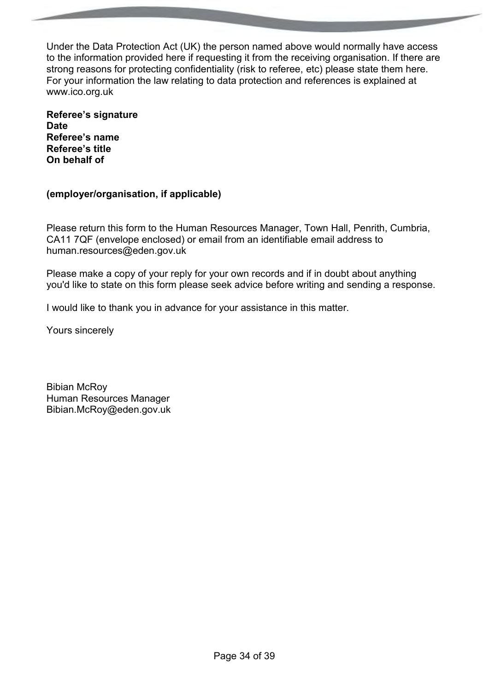Under the Data Protection Act (UK) the person named above would normally have access to the information provided here if requesting it from the receiving organisation. If there are strong reasons for protecting confidentiality (risk to referee, etc) please state them here. For your information the law relating to data protection and references is explained at www.ico.org.uk

**Referee's signature Date Referee's name Referee's title On behalf of** 

#### **(employer/organisation, if applicable)**

Please return this form to the Human Resources Manager, Town Hall, Penrith, Cumbria, CA11 7QF (envelope enclosed) or email from an identifiable email address to human.resources@eden.gov.uk

Please make a copy of your reply for your own records and if in doubt about anything you'd like to state on this form please seek advice before writing and sending a response.

I would like to thank you in advance for your assistance in this matter.

Yours sincerely

Bibian McRoy Human Resources Manager Bibian.McRoy@eden.gov.uk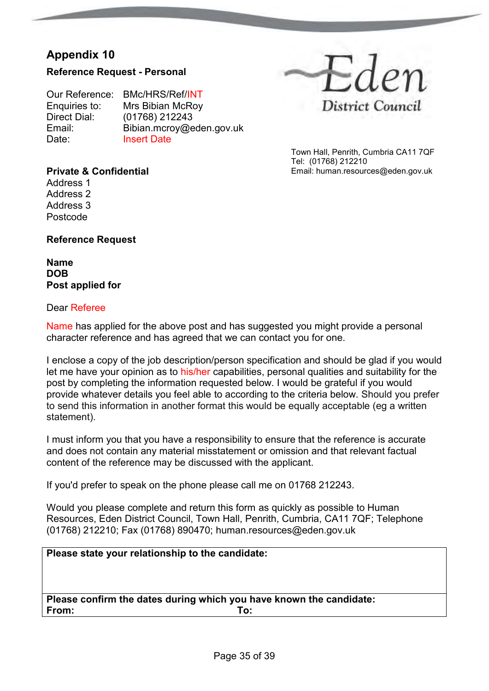#### **Reference Request - Personal**

Our Reference: BMc/HRS/Ref/INT<br>Enquiries to: Mrs Bibian McRoy Enquiries to: Mrs Bibian McRoy<br>Direct Dial: (01768) 212243 Direct Dial: (01768) 212243<br>Email: Bibian.mcrov@e Email: Bibian.mcroy@eden.gov.uk<br>Date: Insert Date **Insert Date** 



Town Hall, Penrith, Cumbria CA11 7QF Tel: (01768) 212210 Email: human.resources@eden.gov.uk

#### **Private & Confidential**

Address 1 Address 2 Address 3 Postcode

#### **Reference Request**

**Name DOB Post applied for** 

#### Dear Referee

Name has applied for the above post and has suggested you might provide a personal character reference and has agreed that we can contact you for one.

I enclose a copy of the job description/person specification and should be glad if you would let me have your opinion as to his/her capabilities, personal qualities and suitability for the post by completing the information requested below. I would be grateful if you would provide whatever details you feel able to according to the criteria below. Should you prefer to send this information in another format this would be equally acceptable (eg a written statement).

I must inform you that you have a responsibility to ensure that the reference is accurate and does not contain any material misstatement or omission and that relevant factual content of the reference may be discussed with the applicant.

If you'd prefer to speak on the phone please call me on 01768 212243.

Would you please complete and return this form as quickly as possible to Human Resources, Eden District Council, Town Hall, Penrith, Cumbria, CA11 7QF; Telephone (01768) 212210; Fax (01768) 890470; human.resources@eden.gov.uk

# **Please state your relationship to the candidate: Please confirm the dates during which you have known the candidate: From: To:**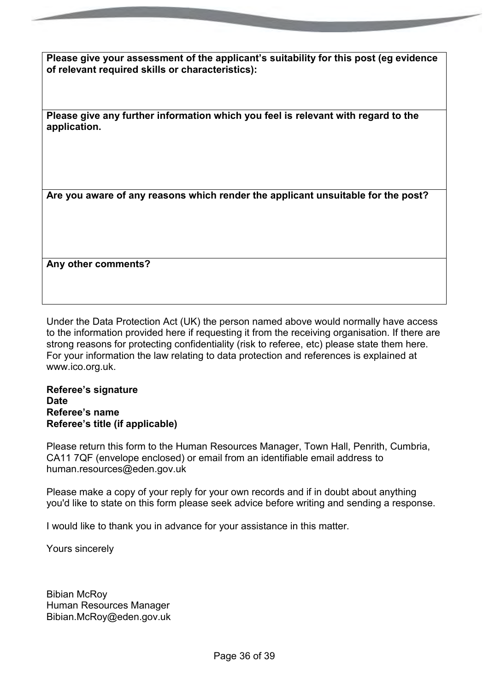**Please give your assessment of the applicant's suitability for this post (eg evidence of relevant required skills or characteristics):** 

**Please give any further information which you feel is relevant with regard to the application.**

**Are you aware of any reasons which render the applicant unsuitable for the post?**

**Any other comments?**

Under the Data Protection Act (UK) the person named above would normally have access to the information provided here if requesting it from the receiving organisation. If there are strong reasons for protecting confidentiality (risk to referee, etc) please state them here. For your information the law relating to data protection and references is explained at www.ico.org.uk.

#### **Referee's signature Date Referee's name Referee's title (if applicable)**

Please return this form to the Human Resources Manager, Town Hall, Penrith, Cumbria, CA11 7QF (envelope enclosed) or email from an identifiable email address to human.resources@eden.gov.uk

Please make a copy of your reply for your own records and if in doubt about anything you'd like to state on this form please seek advice before writing and sending a response.

I would like to thank you in advance for your assistance in this matter.

Yours sincerely

Bibian McRoy Human Resources Manager Bibian.McRoy@eden.gov.uk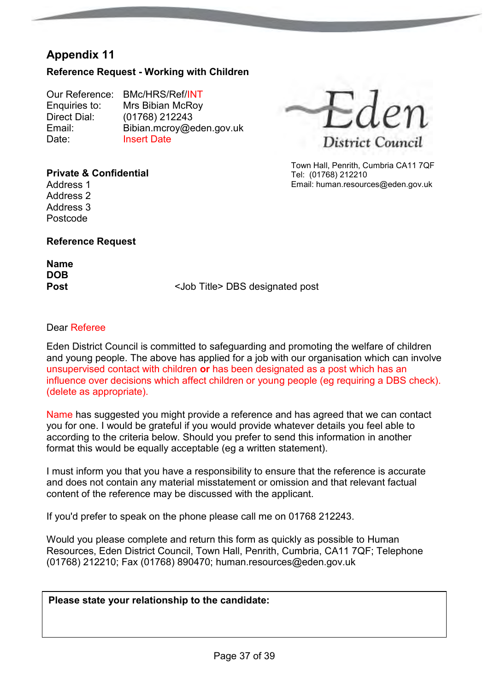#### **Reference Request - Working with Children**

Our Reference: BMc/HRS/Ref/INT<br>Enquiries to: Mrs Bibian McRov Enquiries to: Mrs Bibian McRoy<br>Direct Dial: (01768) 212243 Direct Dial: (01768) 212243<br>Email: Bibian.mcrov@e Email: Bibian.mcroy@eden.gov.uk<br>Date: Insert Date **Insert Date** 



Town Hall, Penrith, Cumbria CA11 7QF Tel: (01768) 212210 Email: human.resources@eden.gov.uk

#### **Private & Confidential**

Address 1 Address 2 Address 3 Postcode

#### **Reference Request**

**Name DOB**

**Post** <Job Title> DBS designated post

#### Dear Referee

Eden District Council is committed to safeguarding and promoting the welfare of children and young people. The above has applied for a job with our organisation which can involve unsupervised contact with children **or** has been designated as a post which has an influence over decisions which affect children or young people (eg requiring a DBS check). (delete as appropriate).

Name has suggested you might provide a reference and has agreed that we can contact you for one. I would be grateful if you would provide whatever details you feel able to according to the criteria below. Should you prefer to send this information in another format this would be equally acceptable (eg a written statement).

I must inform you that you have a responsibility to ensure that the reference is accurate and does not contain any material misstatement or omission and that relevant factual content of the reference may be discussed with the applicant.

If you'd prefer to speak on the phone please call me on 01768 212243.

Would you please complete and return this form as quickly as possible to Human Resources, Eden District Council, Town Hall, Penrith, Cumbria, CA11 7QF; Telephone (01768) 212210; Fax (01768) 890470; human.resources@eden.gov.uk

**Please state your relationship to the candidate:**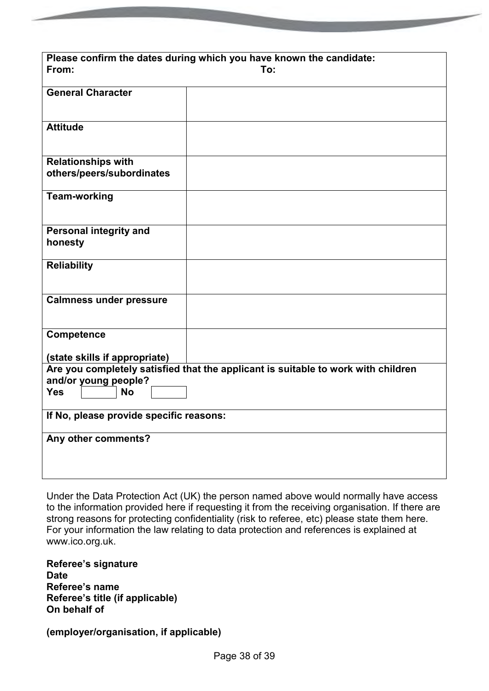| Please confirm the dates during which you have known the candidate:<br>From:<br>To: |  |  |
|-------------------------------------------------------------------------------------|--|--|
| <b>General Character</b>                                                            |  |  |
| <b>Attitude</b>                                                                     |  |  |
| <b>Relationships with</b><br>others/peers/subordinates                              |  |  |
| <b>Team-working</b>                                                                 |  |  |
| <b>Personal integrity and</b><br>honesty                                            |  |  |
| <b>Reliability</b>                                                                  |  |  |
| <b>Calmness under pressure</b>                                                      |  |  |
| Competence                                                                          |  |  |
| (state skills if appropriate)                                                       |  |  |
| Are you completely satisfied that the applicant is suitable to work with children   |  |  |
| and/or young people?<br><b>Yes</b><br><b>No</b>                                     |  |  |
|                                                                                     |  |  |
| If No, please provide specific reasons:                                             |  |  |
| Any other comments?                                                                 |  |  |

Under the Data Protection Act (UK) the person named above would normally have access to the information provided here if requesting it from the receiving organisation. If there are strong reasons for protecting confidentiality (risk to referee, etc) please state them here. For your information the law relating to data protection and references is explained at www.ico.org.uk.

**Referee's signature Date Referee's name Referee's title (if applicable) On behalf of** 

**(employer/organisation, if applicable)**